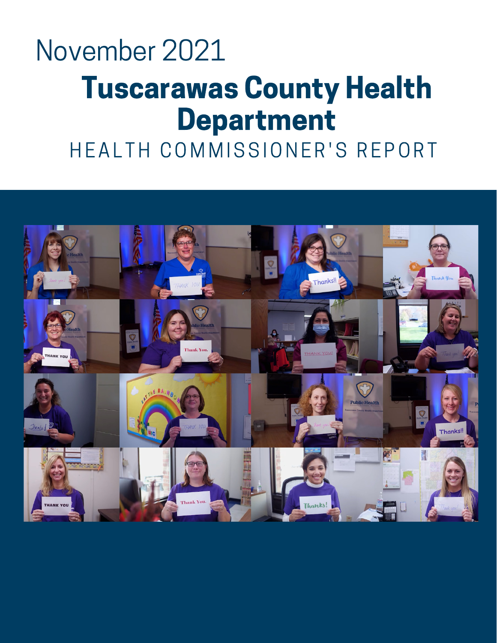### Tuscarawas County Health Department November 2021

HEALTH COMMISSIONER'S REPORT

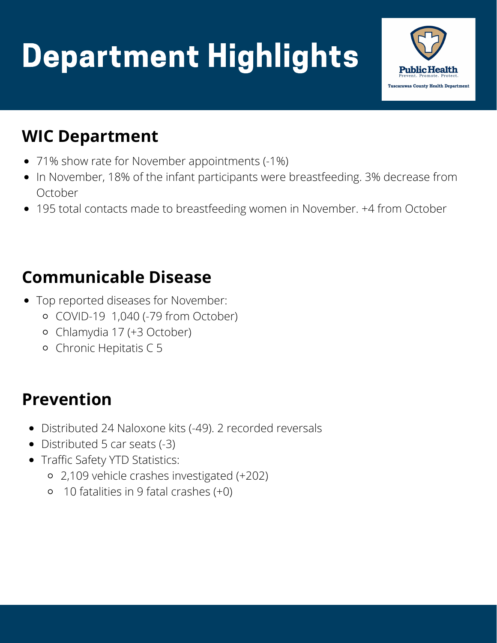# Department Highlights



### **WIC Department**

- 71% show rate for November appointments (-1%)
- In November, 18% of the infant participants were breastfeeding. 3% decrease from October
- 195 total contacts made to breastfeeding women in November. +4 from October

### **Communicable Disease**

- Top reported diseases for November:
	- COVID-19 1,040 (-79 from October)
	- Chlamydia 17 (+3 October)
	- Chronic Hepitatis C 5

### **Prevention**

- Distributed 24 Naloxone kits (-49). 2 recorded reversals
- Distributed 5 car seats (-3)
- Traffic Safety YTD Statistics:
	- 2,109 vehicle crashes investigated (+202)
	- 10 fatalities in 9 fatal crashes (+0)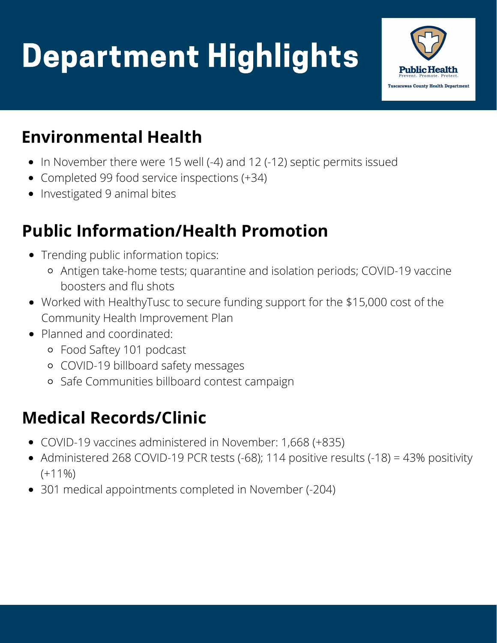# Department Highlights



### **Environmental Health**

- In November there were 15 well (-4) and 12 (-12) septic permits issued
- Completed 99 food service inspections (+34)
- Investigated 9 animal bites

### **Public Information/Health Promotion**

- Trending public information topics:
	- Antigen take-home tests; quarantine and isolation periods; COVID-19 vaccine boosters and flu shots
- Worked with HealthyTusc to secure funding support for the \$15,000 cost of the Community Health Improvement Plan
- Planned and coordinated:
	- Food Saftey 101 podcast
	- COVID-19 billboard safety messages
	- Safe Communities billboard contest campaign

### **Medical Records/Clinic**

- COVID-19 vaccines administered in November: 1,668 (+835)
- Administered 268 COVID-19 PCR tests (-68); 114 positive results (-18) = 43% positivity  $(+11\%)$
- 301 medical appointments completed in November (-204)